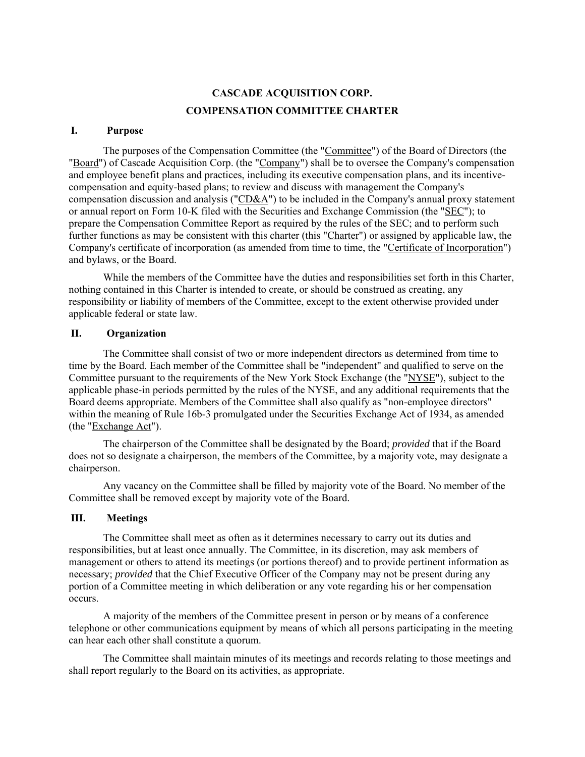# **CASCADE ACQUISITION CORP. COMPENSATION COMMITTEE CHARTER**

#### **I. Purpose**

The purposes of the Compensation Committee (the "Committee") of the Board of Directors (the "Board") of Cascade Acquisition Corp. (the "Company") shall be to oversee the Company's compensation and employee benefit plans and practices, including its executive compensation plans, and its incentivecompensation and equity-based plans; to review and discuss with management the Company's compensation discussion and analysis ("CD&A") to be included in the Company's annual proxy statement or annual report on Form 10-K filed with the Securities and Exchange Commission (the "SEC"); to prepare the Compensation Committee Report as required by the rules of the SEC; and to perform such further functions as may be consistent with this charter (this "Charter") or assigned by applicable law, the Company's certificate of incorporation (as amended from time to time, the "Certificate of Incorporation") and bylaws, or the Board.

While the members of the Committee have the duties and responsibilities set forth in this Charter, nothing contained in this Charter is intended to create, or should be construed as creating, any responsibility or liability of members of the Committee, except to the extent otherwise provided under applicable federal or state law.

## **II. Organization**

The Committee shall consist of two or more independent directors as determined from time to time by the Board. Each member of the Committee shall be "independent" and qualified to serve on the Committee pursuant to the requirements of the New York Stock Exchange (the "NYSE"), subject to the applicable phase-in periods permitted by the rules of the NYSE, and any additional requirements that the Board deems appropriate. Members of the Committee shall also qualify as "non-employee directors" within the meaning of Rule 16b-3 promulgated under the Securities Exchange Act of 1934, as amended (the "Exchange Act").

The chairperson of the Committee shall be designated by the Board; *provided* that if the Board does not so designate a chairperson, the members of the Committee, by a majority vote, may designate a chairperson.

Any vacancy on the Committee shall be filled by majority vote of the Board. No member of the Committee shall be removed except by majority vote of the Board.

## **III. Meetings**

The Committee shall meet as often as it determines necessary to carry out its duties and responsibilities, but at least once annually. The Committee, in its discretion, may ask members of management or others to attend its meetings (or portions thereof) and to provide pertinent information as necessary; *provided* that the Chief Executive Officer of the Company may not be present during any portion of a Committee meeting in which deliberation or any vote regarding his or her compensation occurs.

A majority of the members of the Committee present in person or by means of a conference telephone or other communications equipment by means of which all persons participating in the meeting can hear each other shall constitute a quorum.

The Committee shall maintain minutes of its meetings and records relating to those meetings and shall report regularly to the Board on its activities, as appropriate.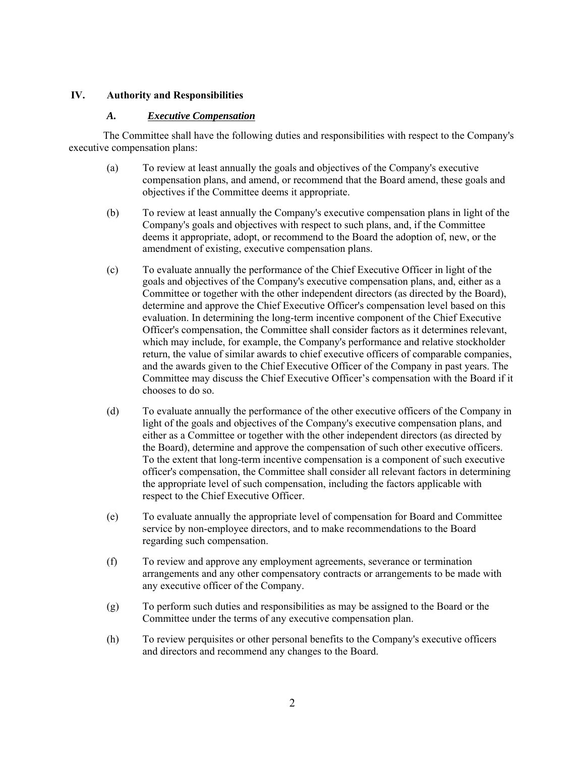## **IV. Authority and Responsibilities**

## *A. Executive Compensation*

The Committee shall have the following duties and responsibilities with respect to the Company's executive compensation plans:

- (a) To review at least annually the goals and objectives of the Company's executive compensation plans, and amend, or recommend that the Board amend, these goals and objectives if the Committee deems it appropriate.
- (b) To review at least annually the Company's executive compensation plans in light of the Company's goals and objectives with respect to such plans, and, if the Committee deems it appropriate, adopt, or recommend to the Board the adoption of, new, or the amendment of existing, executive compensation plans.
- (c) To evaluate annually the performance of the Chief Executive Officer in light of the goals and objectives of the Company's executive compensation plans, and, either as a Committee or together with the other independent directors (as directed by the Board), determine and approve the Chief Executive Officer's compensation level based on this evaluation. In determining the long-term incentive component of the Chief Executive Officer's compensation, the Committee shall consider factors as it determines relevant, which may include, for example, the Company's performance and relative stockholder return, the value of similar awards to chief executive officers of comparable companies, and the awards given to the Chief Executive Officer of the Company in past years. The Committee may discuss the Chief Executive Officer's compensation with the Board if it chooses to do so.
- (d) To evaluate annually the performance of the other executive officers of the Company in light of the goals and objectives of the Company's executive compensation plans, and either as a Committee or together with the other independent directors (as directed by the Board), determine and approve the compensation of such other executive officers. To the extent that long-term incentive compensation is a component of such executive officer's compensation, the Committee shall consider all relevant factors in determining the appropriate level of such compensation, including the factors applicable with respect to the Chief Executive Officer.
- (e) To evaluate annually the appropriate level of compensation for Board and Committee service by non-employee directors, and to make recommendations to the Board regarding such compensation.
- (f) To review and approve any employment agreements, severance or termination arrangements and any other compensatory contracts or arrangements to be made with any executive officer of the Company.
- (g) To perform such duties and responsibilities as may be assigned to the Board or the Committee under the terms of any executive compensation plan.
- (h) To review perquisites or other personal benefits to the Company's executive officers and directors and recommend any changes to the Board.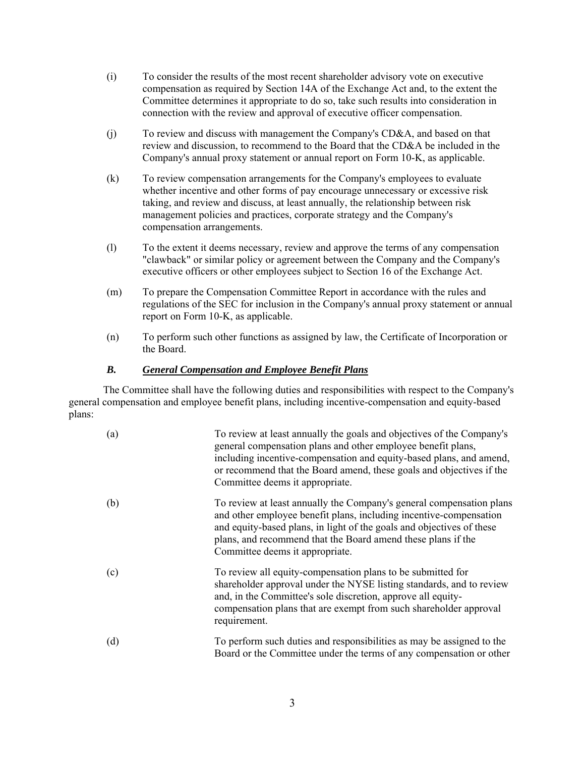- (i) To consider the results of the most recent shareholder advisory vote on executive compensation as required by Section 14A of the Exchange Act and, to the extent the Committee determines it appropriate to do so, take such results into consideration in connection with the review and approval of executive officer compensation.
- (j) To review and discuss with management the Company's CD&A, and based on that review and discussion, to recommend to the Board that the CD&A be included in the Company's annual proxy statement or annual report on Form 10-K, as applicable.
- (k) To review compensation arrangements for the Company's employees to evaluate whether incentive and other forms of pay encourage unnecessary or excessive risk taking, and review and discuss, at least annually, the relationship between risk management policies and practices, corporate strategy and the Company's compensation arrangements.
- (l) To the extent it deems necessary, review and approve the terms of any compensation "clawback" or similar policy or agreement between the Company and the Company's executive officers or other employees subject to Section 16 of the Exchange Act.
- (m) To prepare the Compensation Committee Report in accordance with the rules and regulations of the SEC for inclusion in the Company's annual proxy statement or annual report on Form 10-K, as applicable.
- (n) To perform such other functions as assigned by law, the Certificate of Incorporation or the Board.

## *B. General Compensation and Employee Benefit Plans*

The Committee shall have the following duties and responsibilities with respect to the Company's general compensation and employee benefit plans, including incentive-compensation and equity-based plans:

| (a) | To review at least annually the goals and objectives of the Company's<br>general compensation plans and other employee benefit plans,<br>including incentive-compensation and equity-based plans, and amend,<br>or recommend that the Board amend, these goals and objectives if the<br>Committee deems it appropriate. |
|-----|-------------------------------------------------------------------------------------------------------------------------------------------------------------------------------------------------------------------------------------------------------------------------------------------------------------------------|
| (b) | To review at least annually the Company's general compensation plans<br>and other employee benefit plans, including incentive-compensation<br>and equity-based plans, in light of the goals and objectives of these<br>plans, and recommend that the Board amend these plans if the<br>Committee deems it appropriate.  |
| (c) | To review all equity-compensation plans to be submitted for<br>shareholder approval under the NYSE listing standards, and to review<br>and, in the Committee's sole discretion, approve all equity-<br>compensation plans that are exempt from such shareholder approval<br>requirement.                                |
| (d) | To perform such duties and responsibilities as may be assigned to the<br>Board or the Committee under the terms of any compensation or other                                                                                                                                                                            |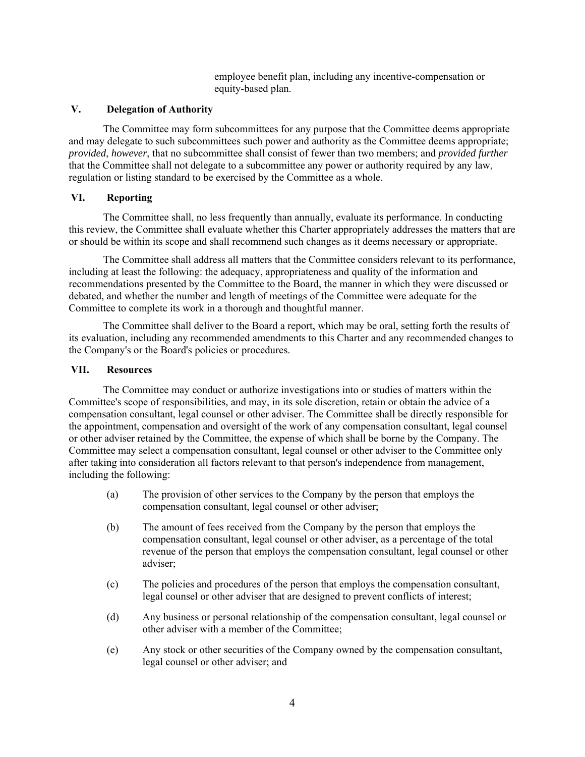employee benefit plan, including any incentive-compensation or equity-based plan.

#### **V. Delegation of Authority**

The Committee may form subcommittees for any purpose that the Committee deems appropriate and may delegate to such subcommittees such power and authority as the Committee deems appropriate; *provided*, *however*, that no subcommittee shall consist of fewer than two members; and *provided further* that the Committee shall not delegate to a subcommittee any power or authority required by any law, regulation or listing standard to be exercised by the Committee as a whole.

#### **VI. Reporting**

The Committee shall, no less frequently than annually, evaluate its performance. In conducting this review, the Committee shall evaluate whether this Charter appropriately addresses the matters that are or should be within its scope and shall recommend such changes as it deems necessary or appropriate.

The Committee shall address all matters that the Committee considers relevant to its performance, including at least the following: the adequacy, appropriateness and quality of the information and recommendations presented by the Committee to the Board, the manner in which they were discussed or debated, and whether the number and length of meetings of the Committee were adequate for the Committee to complete its work in a thorough and thoughtful manner.

The Committee shall deliver to the Board a report, which may be oral, setting forth the results of its evaluation, including any recommended amendments to this Charter and any recommended changes to the Company's or the Board's policies or procedures.

#### **VII. Resources**

The Committee may conduct or authorize investigations into or studies of matters within the Committee's scope of responsibilities, and may, in its sole discretion, retain or obtain the advice of a compensation consultant, legal counsel or other adviser. The Committee shall be directly responsible for the appointment, compensation and oversight of the work of any compensation consultant, legal counsel or other adviser retained by the Committee, the expense of which shall be borne by the Company. The Committee may select a compensation consultant, legal counsel or other adviser to the Committee only after taking into consideration all factors relevant to that person's independence from management, including the following:

- (a) The provision of other services to the Company by the person that employs the compensation consultant, legal counsel or other adviser;
- (b) The amount of fees received from the Company by the person that employs the compensation consultant, legal counsel or other adviser, as a percentage of the total revenue of the person that employs the compensation consultant, legal counsel or other adviser;
- (c) The policies and procedures of the person that employs the compensation consultant, legal counsel or other adviser that are designed to prevent conflicts of interest;
- (d) Any business or personal relationship of the compensation consultant, legal counsel or other adviser with a member of the Committee;
- (e) Any stock or other securities of the Company owned by the compensation consultant, legal counsel or other adviser; and